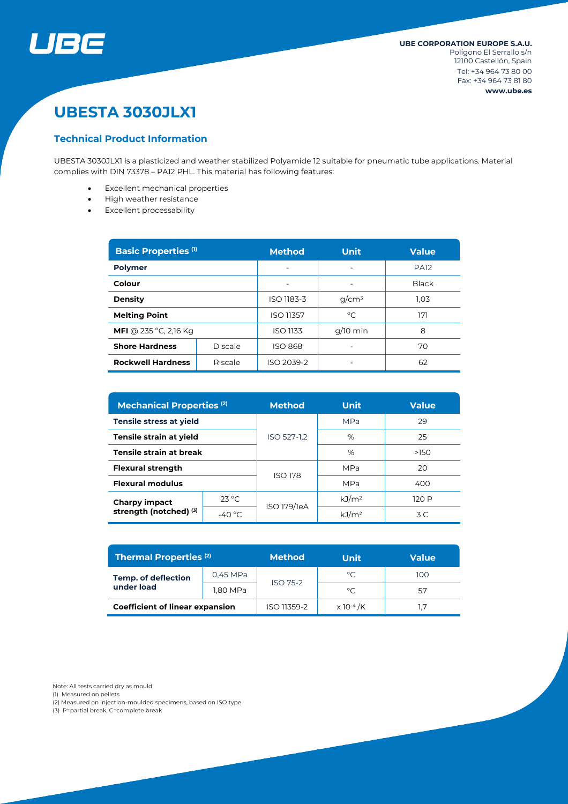

# **UBESTA 3030JLX1**

### **Technical Product Information**

UBESTA 3030JLX1 is a plasticized and weather stabilized Polyamide 12 suitable for pneumatic tube applications. Material complies with DIN 73378 – PA12 PHL. This material has following features:

- Excellent mechanical properties
- High weather resistance
- Excellent processability

| <b>Basic Properties (1)</b>         |         | <b>Method</b>    | <b>Unit</b> | <b>Value</b> |  |
|-------------------------------------|---------|------------------|-------------|--------------|--|
| <b>Polymer</b>                      |         |                  |             | <b>PA12</b>  |  |
| Colour                              |         |                  |             | <b>Black</b> |  |
| <b>Density</b>                      |         | ISO 1183-3       | $q/cm^3$    | 1.03         |  |
| <b>Melting Point</b>                |         | <b>ISO 11357</b> | °C          | 171          |  |
| <b>MFI</b> @ 235 °C, 2,16 Kg        |         | <b>ISO 1133</b>  | $q/10$ min  | 8            |  |
| <b>Shore Hardness</b>               | D scale | <b>ISO 868</b>   |             |              |  |
| <b>Rockwell Hardness</b><br>R scale |         | ISO 2039-2       |             | 62           |  |

| <b>Mechanical Properties (2)</b>        |                 | <b>Method</b>  | <b>Unit</b>       | <b>Value</b> |  |
|-----------------------------------------|-----------------|----------------|-------------------|--------------|--|
| <b>Tensile stress at yield</b>          |                 |                | <b>MPa</b>        | 29           |  |
| Tensile strain at yield                 |                 | ISO 527-1.2    | %                 | 25           |  |
| Tensile strain at break                 |                 |                | %                 | >150         |  |
| <b>Flexural strength</b>                |                 | <b>ISO 178</b> | <b>MPa</b>        | 20           |  |
| <b>Flexural modulus</b>                 |                 |                | <b>MPa</b>        | 400          |  |
| Charpy impact<br>strength (notched) (3) | $23^{\circ}$ C  | ISO 179/1eA    | kJ/m <sup>2</sup> | 120 P        |  |
|                                         | $-40^{\circ}$ C |                | kJ/m <sup>2</sup> | 3C           |  |

| <b>Thermal Properties (2)</b>            |          | <b>Method</b>   | <b>Unit</b>                  | Value |  |
|------------------------------------------|----------|-----------------|------------------------------|-------|--|
| <b>Temp. of deflection</b><br>under load | 0,45 MPa | <b>ISO 75-2</b> | °C                           | 100   |  |
|                                          | 1,80 MPa |                 | °C                           | 57    |  |
| <b>Coefficient of linear expansion</b>   |          | ISO 11359-2     | $\times$ 10 <sup>-4</sup> /K |       |  |

Note: All tests carried dry as mould

(1) Measured on pellets

(2) Measured on injection-moulded specimens, based on ISO type

(3) P=partial break, C=complete break